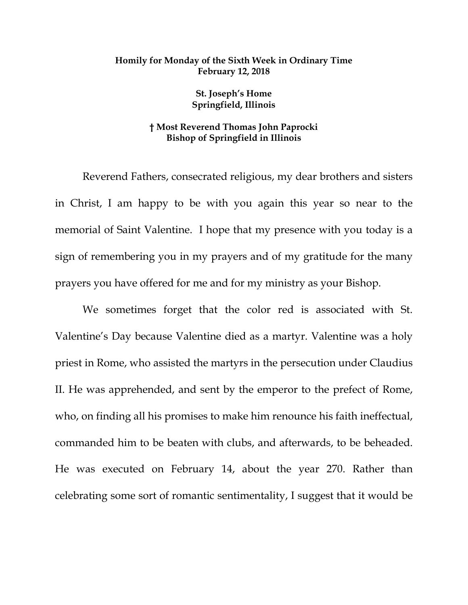## **Homily for Monday of the Sixth Week in Ordinary Time February 12, 2018**

**St. Joseph's Home Springfield, Illinois**

## **† Most Reverend Thomas John Paprocki Bishop of Springfield in Illinois**

Reverend Fathers, consecrated religious, my dear brothers and sisters in Christ, I am happy to be with you again this year so near to the memorial of Saint Valentine. I hope that my presence with you today is a sign of remembering you in my prayers and of my gratitude for the many prayers you have offered for me and for my ministry as your Bishop.

We sometimes forget that the color red is associated with St. Valentine's Day because Valentine died as a martyr. Valentine was a holy priest in Rome, who assisted the martyrs in the persecution under Claudius II. He was apprehended, and sent by the emperor to the prefect of Rome, who, on finding all his promises to make him renounce his faith ineffectual, commanded him to be beaten with clubs, and afterwards, to be beheaded. He was executed on February 14, about the year 270. Rather than celebrating some sort of romantic sentimentality, I suggest that it would be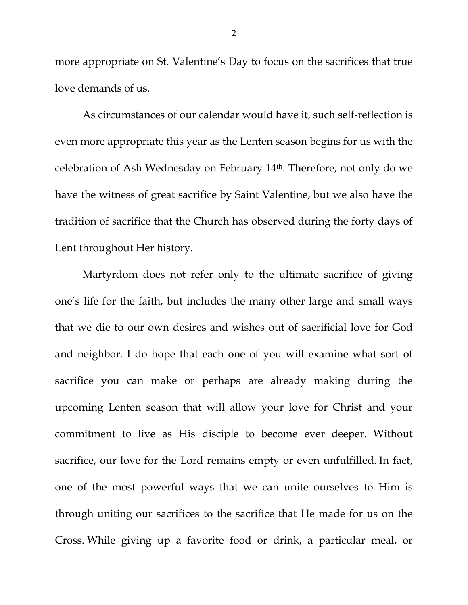more appropriate on St. Valentine's Day to focus on the sacrifices that true love demands of us.

As circumstances of our calendar would have it, such self-reflection is even more appropriate this year as the Lenten season begins for us with the celebration of Ash Wednesday on February 14th. Therefore, not only do we have the witness of great sacrifice by Saint Valentine, but we also have the tradition of sacrifice that the Church has observed during the forty days of Lent throughout Her history.

Martyrdom does not refer only to the ultimate sacrifice of giving one's life for the faith, but includes the many other large and small ways that we die to our own desires and wishes out of sacrificial love for God and neighbor. I do hope that each one of you will examine what sort of sacrifice you can make or perhaps are already making during the upcoming Lenten season that will allow your love for Christ and your commitment to live as His disciple to become ever deeper. Without sacrifice, our love for the Lord remains empty or even unfulfilled. In fact, one of the most powerful ways that we can unite ourselves to Him is through uniting our sacrifices to the sacrifice that He made for us on the Cross. While giving up a favorite food or drink, a particular meal, or